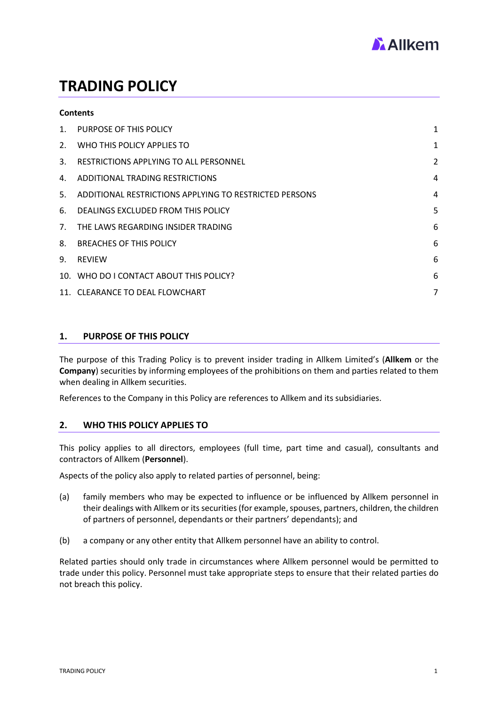

# **TRADING POLICY**

### **Contents**

| $1_{-}$ | PURPOSE OF THIS POLICY                                    | 1              |
|---------|-----------------------------------------------------------|----------------|
| 2.      | WHO THIS POLICY APPLIES TO                                | $\mathbf{1}$   |
| 3.      | RESTRICTIONS APPLYING TO ALL PERSONNEL                    | $\overline{2}$ |
| 4.      | ADDITIONAL TRADING RESTRICTIONS                           | 4              |
|         | 5. ADDITIONAL RESTRICTIONS APPLYING TO RESTRICTED PERSONS | 4              |
| 6.      | DEALINGS EXCLUDED FROM THIS POLICY                        | 5              |
| 7.      | THE LAWS REGARDING INSIDER TRADING                        | 6              |
| 8.      | <b>BREACHES OF THIS POLICY</b>                            | 6              |
| 9.      | <b>REVIEW</b>                                             | 6              |
|         | 10. WHO DO I CONTACT ABOUT THIS POLICY?                   | 6              |
|         | 11. CLEARANCE TO DEAL FLOWCHART                           | 7              |

# <span id="page-0-0"></span>**1. PURPOSE OF THIS POLICY**

The purpose of this Trading Policy is to prevent insider trading in Allkem Limited's (**Allkem** or the **Company**) securities by informing employees of the prohibitions on them and parties related to them when dealing in Allkem securities.

References to the Company in this Policy are references to Allkem and its subsidiaries.

# <span id="page-0-1"></span>**2. WHO THIS POLICY APPLIES TO**

This policy applies to all directors, employees (full time, part time and casual), consultants and contractors of Allkem (**Personnel**).

Aspects of the policy also apply to related parties of personnel, being:

- (a) family members who may be expected to influence or be influenced by Allkem personnel in their dealings with Allkem or its securities (for example, spouses, partners, children, the children of partners of personnel, dependants or their partners' dependants); and
- (b) a company or any other entity that Allkem personnel have an ability to control.

Related parties should only trade in circumstances where Allkem personnel would be permitted to trade under this policy. Personnel must take appropriate steps to ensure that their related parties do not breach this policy.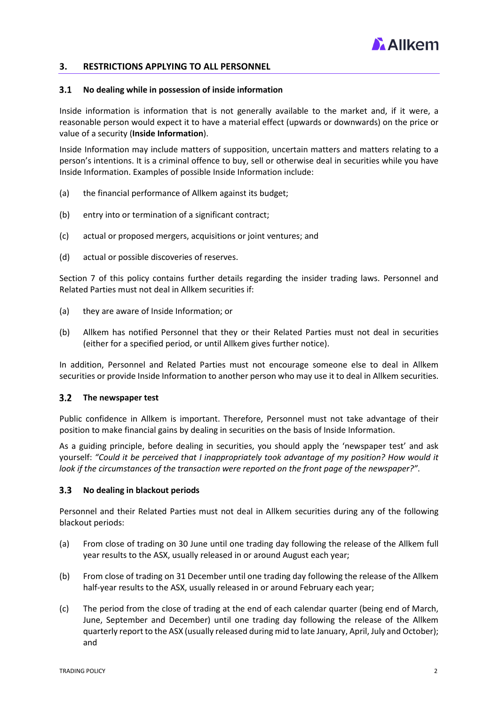

## <span id="page-1-0"></span>**3. RESTRICTIONS APPLYING TO ALL PERSONNEL**

#### $3.1$ **No dealing while in possession of inside information**

Inside information is information that is not generally available to the market and, if it were, a reasonable person would expect it to have a material effect (upwards or downwards) on the price or value of a security (**Inside Information**).

Inside Information may include matters of supposition, uncertain matters and matters relating to a person's intentions. It is a criminal offence to buy, sell or otherwise deal in securities while you have Inside Information. Examples of possible Inside Information include:

- (a) the financial performance of Allkem against its budget;
- (b) entry into or termination of a significant contract;
- (c) actual or proposed mergers, acquisitions or joint ventures; and
- (d) actual or possible discoveries of reserves.

Section 7 of this policy contains further details regarding the insider trading laws. Personnel and Related Parties must not deal in Allkem securities if:

- (a) they are aware of Inside Information; or
- (b) Allkem has notified Personnel that they or their Related Parties must not deal in securities (either for a specified period, or until Allkem gives further notice).

In addition, Personnel and Related Parties must not encourage someone else to deal in Allkem securities or provide Inside Information to another person who may use it to deal in Allkem securities.

#### $3.2$ **The newspaper test**

Public confidence in Allkem is important. Therefore, Personnel must not take advantage of their position to make financial gains by dealing in securities on the basis of Inside Information.

As a guiding principle, before dealing in securities, you should apply the 'newspaper test' and ask yourself: *"Could it be perceived that I inappropriately took advantage of my position? How would it look if the circumstances of the transaction were reported on the front page of the newspaper?"*.

#### $3.3$ **No dealing in blackout periods**

Personnel and their Related Parties must not deal in Allkem securities during any of the following blackout periods:

- (a) From close of trading on 30 June until one trading day following the release of the Allkem full year results to the ASX, usually released in or around August each year;
- (b) From close of trading on 31 December until one trading day following the release of the Allkem half-year results to the ASX, usually released in or around February each year;
- (c) The period from the close of trading at the end of each calendar quarter (being end of March, June, September and December) until one trading day following the release of the Allkem quarterly report to the ASX (usually released during mid to late January, April, July and October); and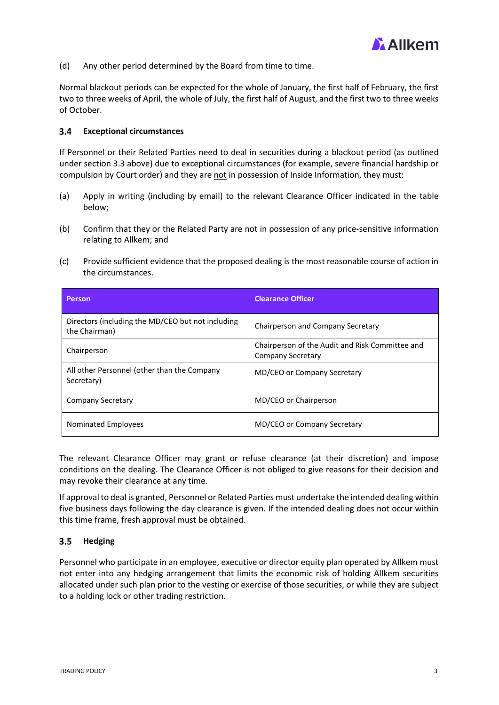

(d) Any other period determined by the Board from time to time.

Normal blackout periods can be expected for the whole of January, the first half of February, the first two to three weeks of April, the whole of July, the first half of August, and the first two to three weeks of October.

#### $3.4$ **Exceptional circumstances**

If Personnel or their Related Parties need to deal in securities during a blackout period (as outlined under section 3.3 above) due to exceptional circumstances (for example, severe financial hardship or compulsion by Court order) and they are not in possession of Inside Information, they must:

- (a) Apply in writing (including by email) to the relevant Clearance Officer indicated in the table below;
- (b) Confirm that they or the Related Party are not in possession of any price-sensitive information relating to Allkem; and
- (c) Provide sufficient evidence that the proposed dealing is the most reasonable course of action in the circumstances.

| <b>Person</b>                                                      | <b>Clearance Officer</b>                                                    |
|--------------------------------------------------------------------|-----------------------------------------------------------------------------|
| Directors (including the MD/CEO but not including<br>the Chairman) | Chairperson and Company Secretary                                           |
| Chairperson                                                        | Chairperson of the Audit and Risk Committee and<br><b>Company Secretary</b> |
| All other Personnel (other than the Company<br>Secretary)          | MD/CEO or Company Secretary                                                 |
| <b>Company Secretary</b>                                           | MD/CEO or Chairperson                                                       |
| Nominated Employees                                                | MD/CEO or Company Secretary                                                 |

The relevant Clearance Officer may grant or refuse clearance (at their discretion) and impose conditions on the dealing. The Clearance Officer is not obliged to give reasons for their decision and may revoke their clearance at any time.

If approval to deal is granted, Personnel or Related Parties must undertake the intended dealing within five business days following the day clearance is given. If the intended dealing does not occur within this time frame, fresh approval must be obtained.

#### $3.5$ **Hedging**

Personnel who participate in an employee, executive or director equity plan operated by Allkem must not enter into any hedging arrangement that limits the economic risk of holding Allkem securities allocated under such plan prior to the vesting or exercise of those securities, or while they are subject to a holding lock or other trading restriction.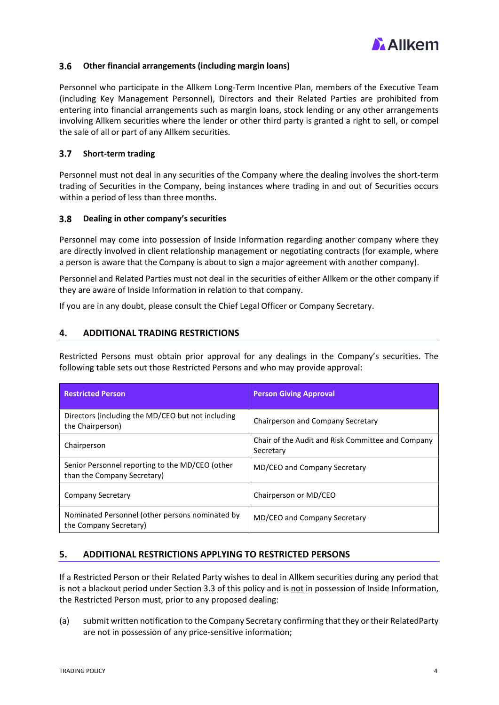

#### <span id="page-3-2"></span> $3.6$ **Other financial arrangements (including margin loans)**

Personnel who participate in the Allkem Long-Term Incentive Plan, members of the Executive Team (including Key Management Personnel), Directors and their Related Parties are prohibited from entering into financial arrangements such as margin loans, stock lending or any other arrangements involving Allkem securities where the lender or other third party is granted a right to sell, or compel the sale of all or part of any Allkem securities.

#### **Short-term trading**  $3.7$

Personnel must not deal in any securities of the Company where the dealing involves the short-term trading of Securities in the Company, being instances where trading in and out of Securities occurs within a period of less than three months.

#### $3.8$ **Dealing in other company's securities**

Personnel may come into possession of Inside Information regarding another company where they are directly involved in client relationship management or negotiating contracts (for example, where a person is aware that the Company is about to sign a major agreement with another company).

Personnel and Related Parties must not deal in the securities of either Allkem or the other company if they are aware of Inside Information in relation to that company.

If you are in any doubt, please consult the Chief Legal Officer or Company Secretary.

# <span id="page-3-0"></span>**4. ADDITIONAL TRADING RESTRICTIONS**

Restricted Persons must obtain prior approval for any dealings in the Company's securities. The following table sets out those Restricted Persons and who may provide approval:

| <b>Restricted Person</b>                                                       | <b>Person Giving Approval</b>                                  |
|--------------------------------------------------------------------------------|----------------------------------------------------------------|
| Directors (including the MD/CEO but not including<br>the Chairperson)          | Chairperson and Company Secretary                              |
| Chairperson                                                                    | Chair of the Audit and Risk Committee and Company<br>Secretary |
| Senior Personnel reporting to the MD/CEO (other<br>than the Company Secretary) | MD/CEO and Company Secretary                                   |
| <b>Company Secretary</b>                                                       | Chairperson or MD/CEO                                          |
| Nominated Personnel (other persons nominated by<br>the Company Secretary)      | MD/CEO and Company Secretary                                   |

# <span id="page-3-1"></span>**5. ADDITIONAL RESTRICTIONS APPLYING TO RESTRICTED PERSONS**

If a Restricted Person or their Related Party wishes to deal in Allkem securities during any period that is not a blackout period under Section 3.3 of this policy and is not in possession of Inside Information, the Restricted Person must, prior to any proposed dealing:

(a) submit written notification to the Company Secretary confirming that they or their RelatedParty are not in possession of any price-sensitive information;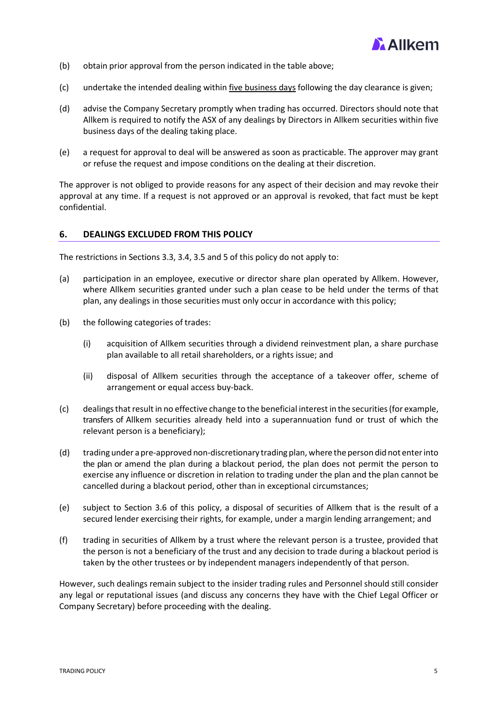

- (b) obtain prior approval from the person indicated in the table above;
- (c) undertake the intended dealing within five business days following the day clearance is given;
- (d) advise the Company Secretary promptly when trading has occurred. Directors should note that Allkem is required to notify the ASX of any dealings by Directors in Allkem securities within five business days of the dealing taking place.
- (e) a request for approval to deal will be answered as soon as practicable. The approver may grant or refuse the request and impose conditions on the dealing at their discretion.

The approver is not obliged to provide reasons for any aspect of their decision and may revoke their approval at any time. If a request is not approved or an approval is revoked, that fact must be kept confidential.

### <span id="page-4-0"></span>**6. DEALINGS EXCLUDED FROM THIS POLICY**

The restrictions in Sections 3.3, 3.4, 3.5 and 5 of this policy do not apply to:

- (a) participation in an employee, executive or director share plan operated by Allkem. However, where Allkem securities granted under such a plan cease to be held under the terms of that plan, any dealings in those securities must only occur in accordance with this policy;
- (b) the following categories of trades:
	- (i) acquisition of Allkem securities through a dividend reinvestment plan, a share purchase plan available to all retail shareholders, or a rights issue; and
	- (ii) disposal of Allkem securities through the acceptance of a takeover offer, scheme of arrangement or equal access buy-back.
- (c) dealingsthatresultin no effective change to the beneficial interestin the securities(for example, transfers of Allkem securities already held into a superannuation fund or trust of which the relevant person is a beneficiary);
- (d) trading under a pre-approved non-discretionary trading plan, where the person did not enterinto the plan or amend the plan during a blackout period, the plan does not permit the person to exercise any influence or discretion in relation to trading under the plan and the plan cannot be cancelled during a blackout period, other than in exceptional circumstances;
- (e) subject to Section [3.6 o](#page-3-2)f this policy, a disposal of securities of Allkem that is the result of a secured lender exercising their rights, for example, under a margin lending arrangement; and
- (f) trading in securities of Allkem by a trust where the relevant person is a trustee, provided that the person is not a beneficiary of the trust and any decision to trade during a blackout period is taken by the other trustees or by independent managers independently of that person.

However, such dealings remain subject to the insider trading rules and Personnel should still consider any legal or reputational issues (and discuss any concerns they have with the Chief Legal Officer or Company Secretary) before proceeding with the dealing.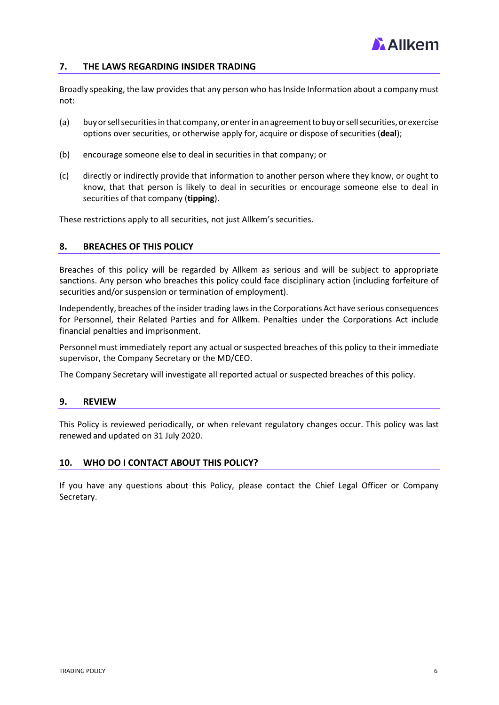

# <span id="page-5-0"></span>**7. THE LAWS REGARDING INSIDER TRADING**

Broadly speaking, the law provides that any person who has Inside Information about a company must not:

- (a) buyorsellsecuritiesinthat company,or enterin anagreementto buy orsellsecurities,orexercise options over securities, or otherwise apply for, acquire or dispose of securities (**deal**);
- (b) encourage someone else to deal in securities in that company; or
- (c) directly or indirectly provide that information to another person where they know, or ought to know, that that person is likely to deal in securities or encourage someone else to deal in securities of that company (**tipping**).

These restrictions apply to all securities, not just Allkem's securities.

### <span id="page-5-1"></span>**8. BREACHES OF THIS POLICY**

Breaches of this policy will be regarded by Allkem as serious and will be subject to appropriate sanctions. Any person who breaches this policy could face disciplinary action (including forfeiture of securities and/or suspension or termination of employment).

Independently, breaches of the insider trading laws in the Corporations Act have serious consequences for Personnel, their Related Parties and for Allkem. Penalties under the Corporations Act include financial penalties and imprisonment.

Personnel must immediately report any actual or suspected breaches of this policy to their immediate supervisor, the Company Secretary or the MD/CEO.

The Company Secretary will investigate all reported actual or suspected breaches of this policy.

### <span id="page-5-2"></span>**9. REVIEW**

This Policy is reviewed periodically, or when relevant regulatory changes occur. This policy was last renewed and updated on 31 July 2020.

### <span id="page-5-3"></span>**10. WHO DO I CONTACT ABOUT THIS POLICY?**

If you have any questions about this Policy, please contact the Chief Legal Officer or Company Secretary.